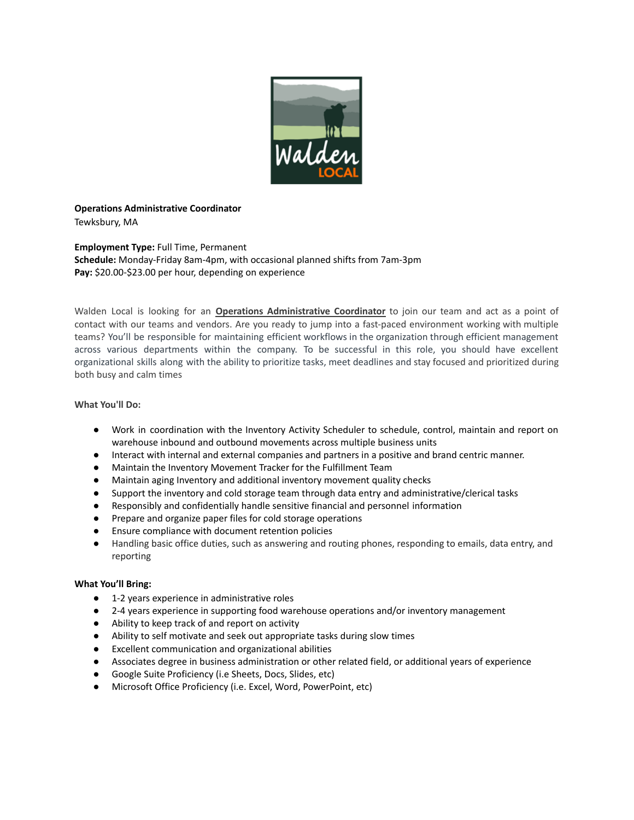

## **Operations Administrative Coordinator** Tewksbury, MA

**Employment Type:** Full Time, Permanent **Schedule:** Monday-Friday 8am-4pm, with occasional planned shifts from 7am-3pm Pay: \$20.00-\$23.00 per hour, depending on experience

Walden Local is looking for an **Operations Administrative Coordinator** to join our team and act as a point of contact with our teams and vendors. Are you ready to jump into a fast-paced environment working with multiple teams? You'll be responsible for maintaining efficient workflows in the organization through efficient management across various departments within the company. To be successful in this role, you should have excellent organizational skills along with the ability to prioritize tasks, meet deadlines and stay focused and prioritized during both busy and calm times

## **What You'll Do:**

- Work in coordination with the Inventory Activity Scheduler to schedule, control, maintain and report on warehouse inbound and outbound movements across multiple business units
- Interact with internal and external companies and partners in a positive and brand centric manner.
- Maintain the Inventory Movement Tracker for the Fulfillment Team
- Maintain aging Inventory and additional inventory movement quality checks
- Support the inventory and cold storage team through data entry and administrative/clerical tasks
- Responsibly and confidentially handle sensitive financial and personnel information
- Prepare and organize paper files for cold storage operations
- Ensure compliance with document retention policies
- Handling basic office duties, such as answering and routing phones, responding to emails, data entry, and reporting

## **What You'll Bring:**

- 1-2 years experience in administrative roles
- 2-4 years experience in supporting food warehouse operations and/or inventory management
- Ability to keep track of and report on activity
- Ability to self motivate and seek out appropriate tasks during slow times
- Excellent communication and organizational abilities
- Associates degree in business administration or other related field, or additional years of experience
- Google Suite Proficiency (i.e Sheets, Docs, Slides, etc)
- Microsoft Office Proficiency (i.e. Excel, Word, PowerPoint, etc)